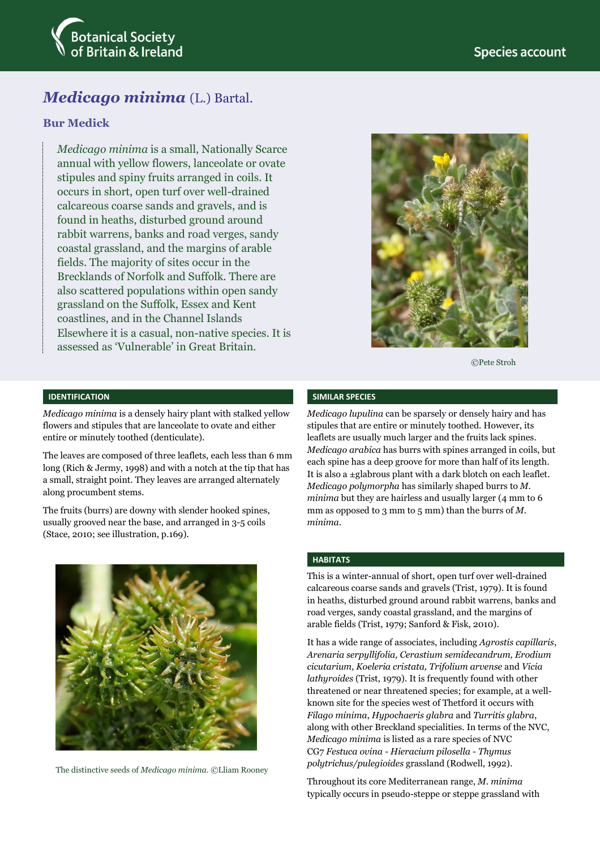

# *Medicago minima* (L.) Bartal.

## **Bur Medick**

*Medicago minima* is a small, Nationally Scarce annual with yellow flowers, lanceolate or ovate stipules and spiny fruits arranged in coils. It occurs in short, open turf over well-drained calcareous coarse sands and gravels, and is found in heaths, disturbed ground around rabbit warrens, banks and road verges, sandy coastal grassland, and the margins of arable fields. The majority of sites occur in the Brecklands of Norfolk and Suffolk. There are also scattered populations within open sandy grassland on the Suffolk, Essex and Kent coastlines, and in the Channel Islands Elsewhere it is a casual, non-native species. It is assessed as 'Vulnerable' in Great Britain.



©Pete Stroh

## **IDENTIFICATION**

*Medicago minima* is a densely hairy plant with stalked yellow flowers and stipules that are lanceolate to ovate and either entire or minutely toothed (denticulate).

The leaves are composed of three leaflets, each less than 6 mm long (Rich & Jermy, 1998) and with a notch at the tip that has a small, straight point. They leaves are arranged alternately along procumbent stems.

The fruits (burrs) are downy with slender hooked spines, usually grooved near the base, and arranged in 3-5 coils (Stace, 2010; see illustration, p.169).



The distinctive seeds of *Medicago minima*. ©Lliam Rooney

#### **SIMILAR SPECIES**

*Medicago lupulina* can be sparsely or densely hairy and has stipules that are entire or minutely toothed. However, its leaflets are usually much larger and the fruits lack spines. *Medicago arabica* has burrs with spines arranged in coils, but each spine has a deep groove for more than half of its length. It is also a ±glabrous plant with a dark blotch on each leaflet. *Medicago polymorpha* has similarly shaped burrs to *M. minima* but they are hairless and usually larger (4 mm to 6 mm as opposed to 3 mm to 5 mm) than the burrs of *M. minima*.

### **HABITATS**

This is a winter-annual of short, open turf over well-drained calcareous coarse sands and gravels (Trist, 1979). It is found in heaths, disturbed ground around rabbit warrens, banks and road verges, sandy coastal grassland, and the margins of arable fields (Trist, 1979; Sanford & Fisk, 2010).

It has a wide range of associates, including *Agrostis capillaris*, *Arenaria serpyllifolia, Cerastium semidecandrum, Erodium cicutarium, Koeleria cristata, Trifolium arvense* and *Vicia lathyroides* (Trist, 1979)*.* It is frequently found with other threatened or near threatened species; for example, at a wellknown site for the species west of Thetford it occurs with *Filago minima*, *Hypochaeris glabra* and *Turritis glabra*, along with other Breckland specialities. In terms of the NVC, *Medicago minima* is listed as a rare species of NVC CG7 *Festuca ovina - Hieracium pilosella - Thymus polytrichus/pulegioides* grassland (Rodwell, 1992).

Throughout its core Mediterranean range, *M. minima* typically occurs in pseudo-steppe or steppe grassland with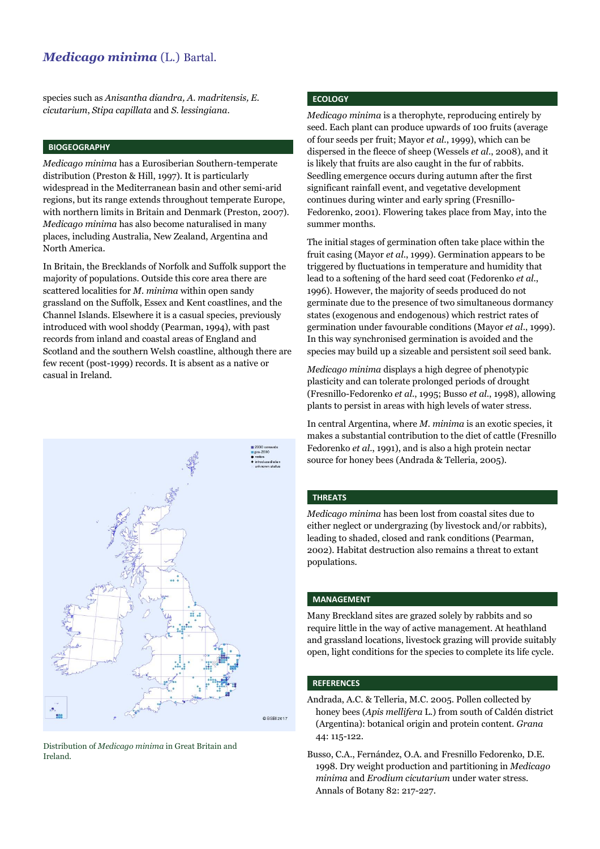## *Medicago minima* (L.) Bartal.

species such as *Anisantha diandra, A. madritensis, E. cicutarium*, *Stipa capillata* and *S. lessingiana*.

#### **BIOGEOGRAPHY**

*Medicago minima* has a Eurosiberian Southern-temperate distribution (Preston & Hill, 1997). It is particularly widespread in the Mediterranean basin and other semi-arid regions, but its range extends throughout temperate Europe, with northern limits in Britain and Denmark (Preston, 2007). *Medicago minima* has also become naturalised in many places, including Australia, New Zealand, Argentina and North America.

In Britain, the Brecklands of Norfolk and Suffolk support the majority of populations. Outside this core area there are scattered localities for *M. minima* within open sandy grassland on the Suffolk, Essex and Kent coastlines, and the Channel Islands. Elsewhere it is a casual species, previously introduced with wool shoddy (Pearman, 1994), with past records from inland and coastal areas of England and Scotland and the southern Welsh coastline, although there are few recent (post-1999) records. It is absent as a native or casual in Ireland.



Distribution of *Medicago minima* in Great Britain and Ireland.

## **ECOLOGY**

*Medicago minima* is a therophyte, reproducing entirely by seed. Each plant can produce upwards of 100 fruits (average of four seeds per fruit; Mayor *et al*., 1999), which can be dispersed in the fleece of sheep (Wessels *et al*., 2008), and it is likely that fruits are also caught in the fur of rabbits. Seedling emergence occurs during autumn after the first significant rainfall event, and vegetative development continues during winter and early spring (Fresnillo-Fedorenko, 2001). Flowering takes place from May, into the summer months.

The initial stages of germination often take place within the fruit casing (Mayor *et al*., 1999). Germination appears to be triggered by fluctuations in temperature and humidity that lead to a softening of the hard seed coat (Fedorenko *et al*., 1996). However, the majority of seeds produced do not germinate due to the presence of two simultaneous dormancy states (exogenous and endogenous) which restrict rates of germination under favourable conditions (Mayor *et al*., 1999). In this way synchronised germination is avoided and the species may build up a sizeable and persistent soil seed bank.

*Medicago minima* displays a high degree of phenotypic plasticity and can tolerate prolonged periods of drought (Fresnillo-Fedorenko *et al*., 1995; Busso *et al*., 1998), allowing plants to persist in areas with high levels of water stress.

In central Argentina, where *M. minima* is an exotic species, it makes a substantial contribution to the diet of cattle (Fresnillo Fedorenko *et al*., 1991), and is also a high protein nectar source for honey bees (Andrada & Telleria, 2005).

#### **THREATS**

*Medicago minima* has been lost from coastal sites due to either neglect or undergrazing (by livestock and/or rabbits), leading to shaded, closed and rank conditions (Pearman, 2002). Habitat destruction also remains a threat to extant populations.

#### **MANAGEMENT**

Many Breckland sites are grazed solely by rabbits and so require little in the way of active management. At heathland and grassland locations, livestock grazing will provide suitably open, light conditions for the species to complete its life cycle.

#### **REFERENCES**

- Andrada, A.C. & Telleria, M.C. 2005. Pollen collected by honey bees (*Apis mellifera* L.) from south of Caldén district (Argentina): botanical origin and protein content. *Grana* 44: 115-122.
- Busso, C.A., Fernández, O.A. and Fresnillo Fedorenko, D.E. 1998. Dry weight production and partitioning in *Medicago minima* and *Erodium cicutarium* under water stress. Annals of Botany 82: 217-227.